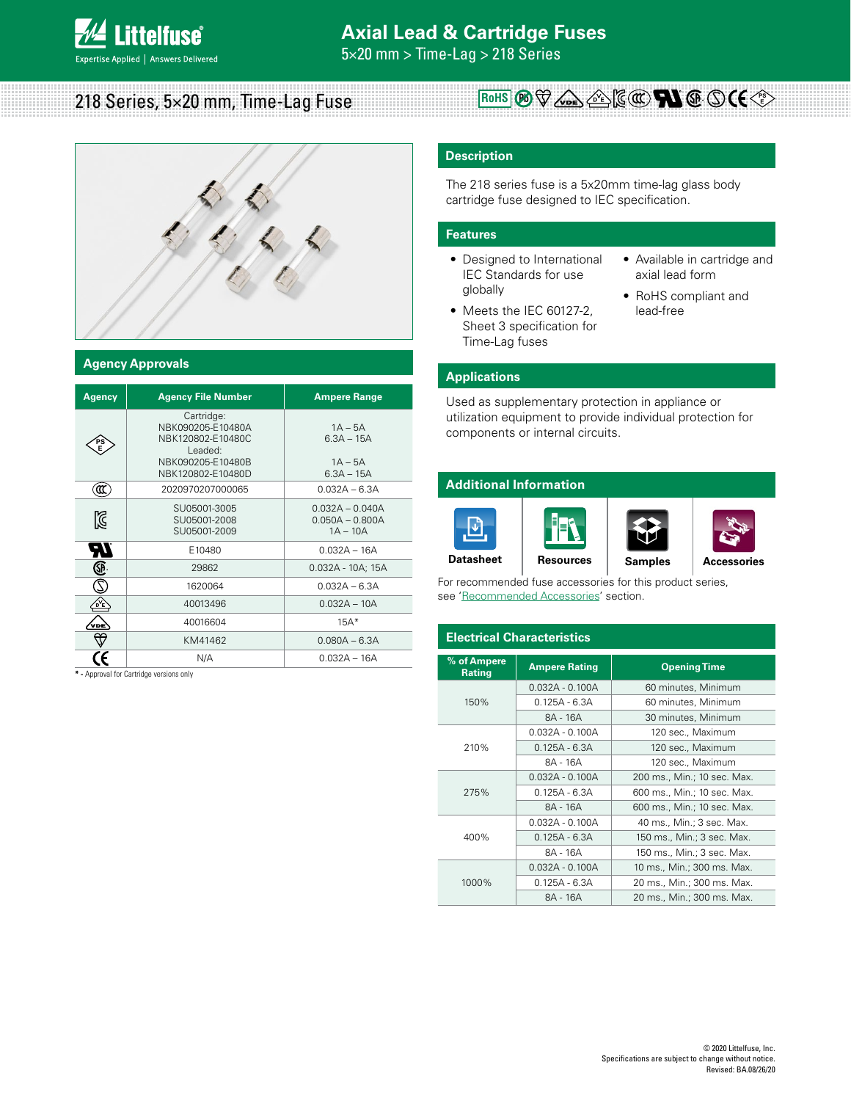5×20 mm > Time-Lag > 218 Series

218 Series, 5×20 mm, Time-Lag Fuse

### **Agency Approvals**

| <b>Agency</b> | <b>Agency File Number</b>                                                                                 | <b>Ampere Range</b>                                    |
|---------------|-----------------------------------------------------------------------------------------------------------|--------------------------------------------------------|
| PS<br>E       | Cartridge:<br>NBK090205-E10480A<br>NBK120802-E10480C<br>Leaded:<br>NBK090205-E10480B<br>NBK120802-E10480D | $1A - 5A$<br>$6.3A - 15A$<br>$1A - 5A$<br>$6.3A - 15A$ |
| α             | 2020970207000065                                                                                          | $0.032A - 6.3A$                                        |
| K             | SU05001-3005<br>SU05001-2008<br>SU05001-2009                                                              | $0.032A - 0.040A$<br>$0.050A - 0.800A$<br>$1A - 10A$   |
| 70            | E10480                                                                                                    | $0.032A - 16A$                                         |
| œ             | 29862                                                                                                     | $0.032A - 10A$ ; 15A                                   |
|               | 1620064                                                                                                   | $0.032A - 6.3A$                                        |
| óΨ            | 40013496                                                                                                  | $0.032A - 10A$                                         |
| vрє           | 40016604                                                                                                  | $15A*$                                                 |
|               | KM41462                                                                                                   | $0.080A - 6.3A$                                        |
|               | N/A                                                                                                       | $0.032A - 16A$                                         |

**\* -** Approval for Cartridge versions only

### **Description**

The 218 series fuse is a 5x20mm time-lag glass body cartridge fuse designed to IEC specification.

**ROHS**  $(P_0 \nabla \wedge_{P} A \leq E)$   $(C(W) \nabla \wedge (S) (C \leq E)$ 

### **Features**

- Designed to International IEC Standards for use globally
- Meets the IEC 60127-2, Sheet 3 specification for Time-Lag fuses
- Available in cartridge and axial lead form
- RoHS compliant and lead-free

### **Applications**

Used as supplementary protection in appliance or utilization equipment to provide individual protection for components or internal circuits.

### **Additional Information**



For recommended fuse accessories for this product series, see 'Recommended Accessories' section.

| <b>Electrical Characteristics</b> |                      |                             |  |  |  |  |  |
|-----------------------------------|----------------------|-----------------------------|--|--|--|--|--|
| % of Ampere<br><b>Rating</b>      | <b>Ampere Rating</b> | <b>Opening Time</b>         |  |  |  |  |  |
|                                   | $0.032A - 0.100A$    | 60 minutes, Minimum         |  |  |  |  |  |
| 150%                              | $0.125A - 6.3A$      | 60 minutes, Minimum         |  |  |  |  |  |
|                                   | 8A - 16A             | 30 minutes, Minimum         |  |  |  |  |  |
|                                   | $0.032A - 0.100A$    | 120 sec., Maximum           |  |  |  |  |  |
| 210%                              | $0.125A - 6.3A$      | 120 sec., Maximum           |  |  |  |  |  |
|                                   | 8A - 16A             | 120 sec., Maximum           |  |  |  |  |  |
|                                   | $0.032A - 0.100A$    | 200 ms., Min.; 10 sec. Max. |  |  |  |  |  |
| 275%                              | $0.125A - 6.3A$      | 600 ms., Min.; 10 sec. Max. |  |  |  |  |  |
|                                   | 8A - 16A             | 600 ms., Min.; 10 sec. Max. |  |  |  |  |  |
|                                   | $0.032A - 0.100A$    | 40 ms., Min.; 3 sec. Max.   |  |  |  |  |  |
| 400%                              | $0.125A - 6.3A$      | 150 ms., Min.; 3 sec. Max.  |  |  |  |  |  |
|                                   | 8A - 16A             | 150 ms., Min.; 3 sec. Max.  |  |  |  |  |  |
|                                   | $0.032A - 0.100A$    | 10 ms., Min.; 300 ms. Max.  |  |  |  |  |  |
| 1000%                             | $0.125A - 6.3A$      | 20 ms., Min.; 300 ms. Max.  |  |  |  |  |  |
|                                   | 8A - 16A             | 20 ms., Min.; 300 ms. Max.  |  |  |  |  |  |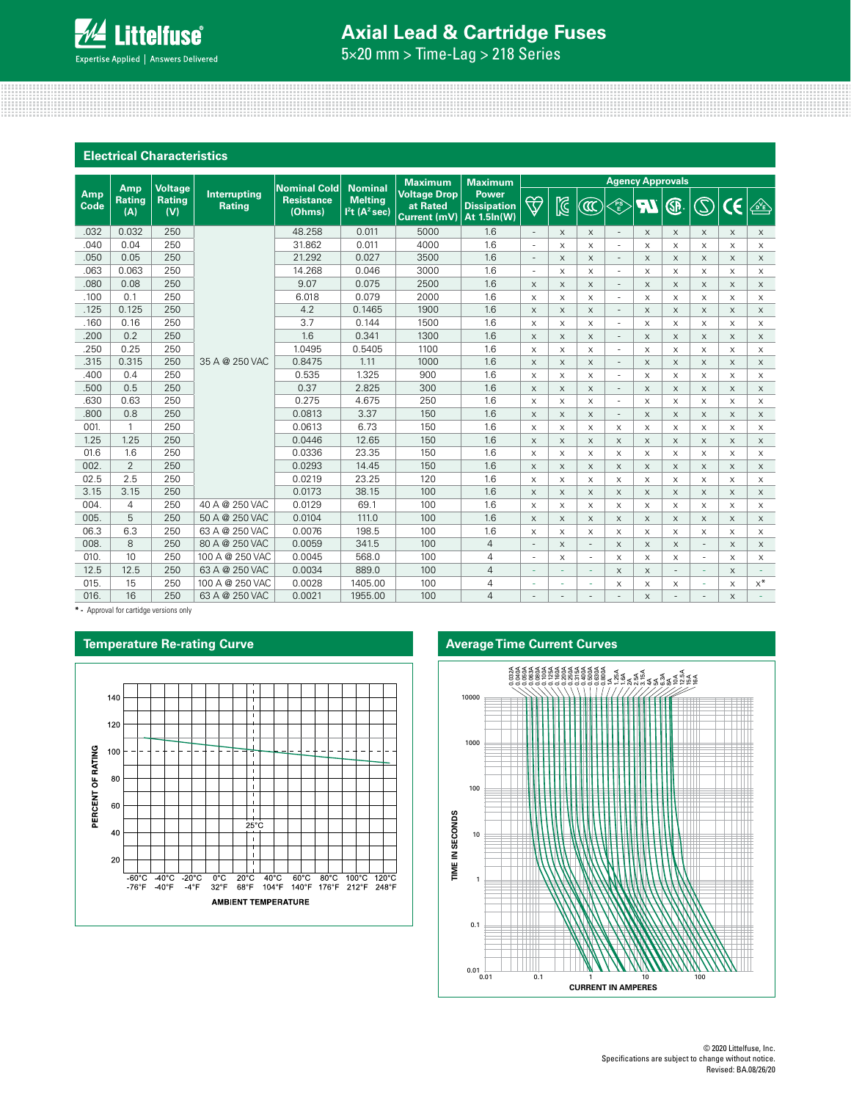# **Axial Lead & Cartridge Fuses**

5×20 mm > Time-Lag > 218 Series

| <b>Electrical Characteristics</b> |                             |                                        |                               |                                                    |                                              |                                                                   |                                                   |                          |                           |                           |                          |                         |                           |                                            |                           |                           |
|-----------------------------------|-----------------------------|----------------------------------------|-------------------------------|----------------------------------------------------|----------------------------------------------|-------------------------------------------------------------------|---------------------------------------------------|--------------------------|---------------------------|---------------------------|--------------------------|-------------------------|---------------------------|--------------------------------------------|---------------------------|---------------------------|
|                                   |                             |                                        |                               |                                                    |                                              | <b>Maximum</b>                                                    | <b>Maximum</b>                                    |                          |                           |                           |                          | <b>Agency Approvals</b> |                           |                                            |                           |                           |
| Amp<br>Code                       | Amp<br><b>Rating</b><br>(A) | <b>Voltage</b><br><b>Rating</b><br>(V) | Interrupting<br><b>Rating</b> | <b>Nominal Cold</b><br><b>Resistance</b><br>(Ohms) | <b>Melting</b><br>$l2t$ (A <sup>2</sup> sec) | <b>Nominal</b><br><b>Voltage Drop</b><br>at Rated<br>Current (mV) | <b>Power</b><br><b>Dissipation</b><br>At 1.5ln(W) | $\bigtriangledown$       | $\mathbb{Z}$              | $\widehat{\mathbb{C}}$    | <b>PS</b>                | R                       | ®                         | $\mathbb{S}% _{k}^{X\left( t_{1}\right) }$ | CE                        | ⚠                         |
| .032                              | 0.032                       | 250                                    |                               | 48.258                                             | 0.011                                        | 5000                                                              | 1.6                                               | $\overline{\phantom{a}}$ | X                         | $\times$                  | $\sim$                   | $\times$                | X                         | $\times$                                   | $\times$                  | $\times$                  |
| .040                              | 0.04                        | 250                                    |                               | 31.862                                             | 0.011                                        | 4000                                                              | 1.6                                               | ä,                       | $\times$                  | $\times$                  | $\sim$                   | $\times$                | X                         | $\times$                                   | $\times$                  | $\times$                  |
| .050                              | 0.05                        | 250                                    |                               | 21.292                                             | 0.027                                        | 3500                                                              | 1.6                                               | $\overline{\phantom{a}}$ | $\boldsymbol{\mathsf{X}}$ | $\times$                  | $\overline{\phantom{a}}$ | $\times$                | $\times$                  | $\times$                                   | $\times$                  | $\mathsf X$               |
| .063                              | 0.063                       | 250                                    |                               | 14.268                                             | 0.046                                        | 3000                                                              | 1.6                                               | ٠                        | $\times$                  | X                         | $\sim$                   | X                       | X                         | $\times$                                   | $\times$                  | $\times$                  |
| .080                              | 0.08                        | 250                                    |                               | 9.07                                               | 0.075                                        | 2500                                                              | 1.6                                               | $\times$                 | $\times$                  | $\times$                  | $\overline{\phantom{a}}$ | $\times$                | X                         | X                                          | $\times$                  | $\times$                  |
| .100                              | 0.1                         | 250                                    |                               | 6.018                                              | 0.079                                        | 2000                                                              | 1.6                                               | $\boldsymbol{\times}$    | $\times$                  | X                         | $\overline{\phantom{a}}$ | X                       | X                         | X                                          | $\times$                  | X                         |
| .125                              | 0.125                       | 250                                    |                               | 4.2                                                | 0.1465                                       | 1900                                                              | 1.6                                               | $\times$                 | $\times$                  | $\times$                  | $\overline{\phantom{a}}$ | $\times$                | X                         | $\times$                                   | $\times$                  | $\times$                  |
| .160                              | 0.16                        | 250                                    |                               | 3.7                                                | 0.144                                        | 1500                                                              | 1.6                                               | $\mathsf X$              | X                         | X                         | $\overline{\phantom{a}}$ | X                       | $\boldsymbol{\mathsf{X}}$ | X                                          | X                         | X                         |
| .200                              | 0.2                         | 250                                    |                               | 1.6                                                | 0.341                                        | 1300                                                              | 1.6                                               | $\times$                 | $\times$                  | $\times$                  | $\overline{\phantom{a}}$ | $\times$                | X                         | $\times$                                   | $\times$                  | $\times$                  |
| .250                              | 0.25                        | 250                                    |                               | 1.0495                                             | 0.5405                                       | 1100                                                              | 1.6                                               | $\times$                 | $\times$                  | $\times$                  | $\overline{\phantom{a}}$ | X                       | $\times$                  | $\times$                                   | X                         | X                         |
| .315                              | 0.315                       | 250                                    | 35 A @ 250 VAC                | 0.8475                                             | 1.11                                         | 1000                                                              | 1.6                                               | $\times$                 | $\times$                  | $\times$                  | $\overline{\phantom{a}}$ | $\times$                | $\times$                  | $\times$                                   | $\times$                  | $\times$                  |
| .400                              | 0.4                         | 250                                    |                               | 0.535                                              | 1.325                                        | 900                                                               | 1.6                                               | X                        | X                         | X                         | $\overline{\phantom{a}}$ | X                       | X                         | X                                          | X                         | X                         |
| .500                              | 0.5                         | 250                                    |                               | 0.37                                               | 2.825                                        | 300                                                               | 1.6                                               | $\times$                 | $\times$                  | $\times$                  | $\overline{\phantom{a}}$ | $\times$                | $\times$                  | $\times$                                   | $\times$                  | $\times$                  |
| .630                              | 0.63                        | 250                                    |                               | 0.275                                              | 4.675                                        | 250                                                               | 1.6                                               | $\times$                 | X                         | X                         | $\overline{\phantom{a}}$ | X                       | X                         | X                                          | X                         | $\times$                  |
| .800                              | 0.8                         | 250                                    |                               | 0.0813                                             | 3.37                                         | 150                                                               | 1.6                                               | $\mathsf X$              | $\times$                  | $\times$                  | $\overline{\phantom{a}}$ | $\times$                | $\times$                  | $\times$                                   | $\times$                  | $\mathsf X$               |
| 001.                              | 1                           | 250                                    |                               | 0.0613                                             | 6.73                                         | 150                                                               | 1.6                                               | $\times$                 | $\boldsymbol{\times}$     | $\boldsymbol{\mathsf{X}}$ | X                        | X                       | $\times$                  | $\times$                                   | $\times$                  | X                         |
| 1.25                              | 1.25                        | 250                                    |                               | 0.0446                                             | 12.65                                        | 150                                                               | 1.6                                               | $\mathsf X$              | $\mathsf X$               | $\mathsf X$               | $\mathsf X$              | $\times$                | X                         | $\times$                                   | $\mathsf X$               | $\mathsf X$               |
| 01.6                              | 1.6                         | 250                                    |                               | 0.0336                                             | 23.35                                        | 150                                                               | 1.6                                               | $\times$                 | $\times$                  | X                         | $\times$                 | X                       | $\times$                  | X                                          | X                         | $\times$                  |
| 002.                              | $\overline{2}$              | 250                                    |                               | 0.0293                                             | 14.45                                        | 150                                                               | 1.6                                               | $\times$                 | $\times$                  | $\times$                  | $\times$                 | $\times$                | $\times$                  | $\times$                                   | $\times$                  | X                         |
| 02.5                              | 2.5                         | 250                                    |                               | 0.0219                                             | 23.25                                        | 120                                                               | 1.6                                               | X                        | X                         | X                         | X                        | X                       | X                         | $\boldsymbol{\mathsf{X}}$                  | X                         | X                         |
| 3.15                              | 3.15                        | 250                                    |                               | 0.0173                                             | 38.15                                        | 100                                                               | 1.6                                               | $\times$                 | $\times$                  | $\times$                  | $\times$                 | $\times$                | $\times$                  | X                                          | $\times$                  | $\times$                  |
| 004.                              | 4                           | 250                                    | 40 A @ 250 VAC                | 0.0129                                             | 69.1                                         | 100                                                               | 1.6                                               | $\times$                 | $\mathsf{x}$              | $\times$                  | $\times$                 | X                       | $\times$                  | $\times$                                   | $\times$                  | $\boldsymbol{\mathsf{X}}$ |
| 005.                              | 5                           | 250                                    | 50 A @ 250 VAC                | 0.0104                                             | 111.0                                        | 100                                                               | 1.6                                               | $\times$                 | $\times$                  | $\times$                  | $\times$                 | $\times$                | $\times$                  | $\times$                                   | $\times$                  | $\times$                  |
| 06.3                              | 6.3                         | 250                                    | 63 A @ 250 VAC                | 0.0076                                             | 198.5                                        | 100                                                               | 1.6                                               | $\times$                 | $\times$                  | X                         | $\times$                 | X                       | $\times$                  | $\times$                                   | X                         | X                         |
| 008.                              | 8                           | 250                                    | 80 A @ 250 VAC                | 0.0059                                             | 341.5                                        | 100                                                               | $\overline{4}$                                    | $\overline{\phantom{a}}$ | $\mathsf X$               | $\overline{\phantom{a}}$  | $\mathsf X$              | $\mathsf X$             | X                         | $\overline{\phantom{a}}$                   | $\boldsymbol{\mathsf{X}}$ | $\times$                  |
| 010.                              | 10                          | 250                                    | 100 A @ 250 VAC               | 0.0045                                             | 568.0                                        | 100                                                               | 4                                                 | ٠                        | X                         | $\overline{\phantom{a}}$  | X                        | $\times$                | X                         | $\overline{\phantom{a}}$                   | $\times$                  | X                         |
| 12.5                              | 12.5                        | 250                                    | 63 A @ 250 VAC                | 0.0034                                             | 889.0                                        | 100                                                               | $\overline{4}$                                    | ÷.                       | ÷                         | ÷                         | $\mathsf X$              | $\times$                | $\blacksquare$            | ÷                                          | $\times$                  | ÷                         |
| 015.                              | 15                          | 250                                    | 100 A @ 250 VAC               | 0.0028                                             | 1405.00                                      | 100                                                               | 4                                                 | ä,                       |                           | ä,                        | X                        | $\times$                | X                         | ä,                                         | $\times$                  | $x^*$                     |
| 016.                              | 16                          | 250                                    | 63 A @ 250 VAC                | 0.0021                                             | 1955.00                                      | 100                                                               | $\overline{4}$                                    |                          |                           |                           |                          | X                       |                           |                                            | $\times$                  |                           |

**\* -** Approval for cartidge versions only



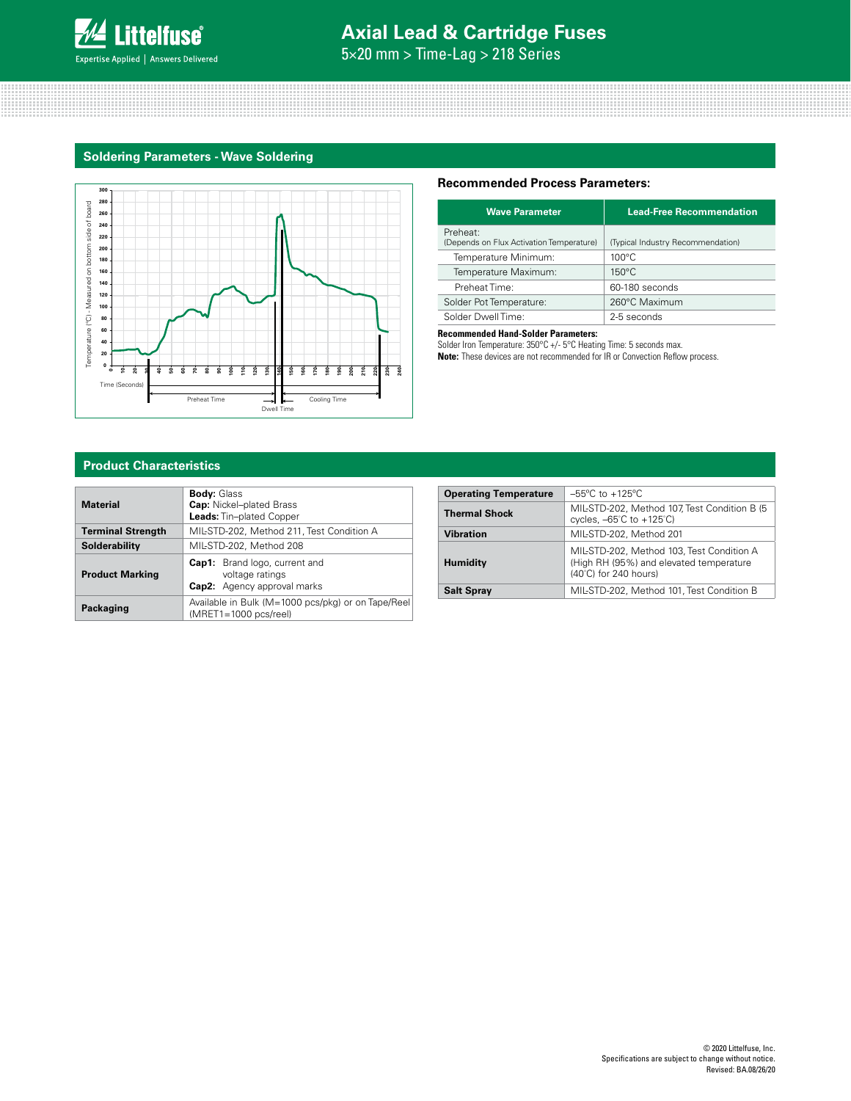

## **Axial Lead & Cartridge Fuses**

5×20 mm > Time-Lag > 218 Series

### **Soldering Parameters - Wave Soldering**



### **Recommended Process Parameters:**

| <b>Wave Parameter</b>                                | <b>Lead-Free Recommendation</b>   |
|------------------------------------------------------|-----------------------------------|
| Preheat:<br>(Depends on Flux Activation Temperature) | (Typical Industry Recommendation) |
| Temperature Minimum:                                 | $100^{\circ}$ C                   |
| Temperature Maximum:                                 | $150^{\circ}$ C                   |
| Preheat Time:                                        | 60-180 seconds                    |
| Solder Pot Temperature:                              | 260°C Maximum                     |
| Solder Dwell Time:                                   | 2-5 seconds                       |

#### **Recommended Hand-Solder Parameters:**

Solder Iron Temperature: 350°C +/- 5°C Heating Time: 5 seconds max. **Note:** These devices are not recommended for IR or Convection Reflow process.

### **Product Characteristics**

| <b>Material</b>          | <b>Body: Glass</b><br><b>Cap:</b> Nickel-plated Brass<br>Leads: Tin-plated Copper             |
|--------------------------|-----------------------------------------------------------------------------------------------|
| <b>Terminal Strength</b> | MIL-STD-202, Method 211, Test Condition A                                                     |
| Solderability            | MIL-STD-202, Method 208                                                                       |
| <b>Product Marking</b>   | <b>Cap1:</b> Brand logo, current and<br>voltage ratings<br><b>Cap2:</b> Agency approval marks |
| Packaging                | Available in Bulk (M=1000 pcs/pkg) or on Tape/Reel<br>$(MRET1=1000 pcs/real)$                 |

| <b>Operating Temperature</b> | $-55^{\circ}$ C to $+125^{\circ}$ C                                                                                     |
|------------------------------|-------------------------------------------------------------------------------------------------------------------------|
| <b>Thermal Shock</b>         | MIL-STD-202, Method 107, Test Condition B (5<br>cycles, $-65^{\circ}$ C to $+125^{\circ}$ C)                            |
| <b>Vibration</b>             | MIL-STD-202, Method 201                                                                                                 |
| <b>Humidity</b>              | MIL-STD-202, Method 103, Test Condition A<br>(High RH (95%) and elevated temperature<br>$(40^{\circ}$ C) for 240 hours) |
| <b>Salt Spray</b>            | MIL-STD-202, Method 101, Test Condition B                                                                               |